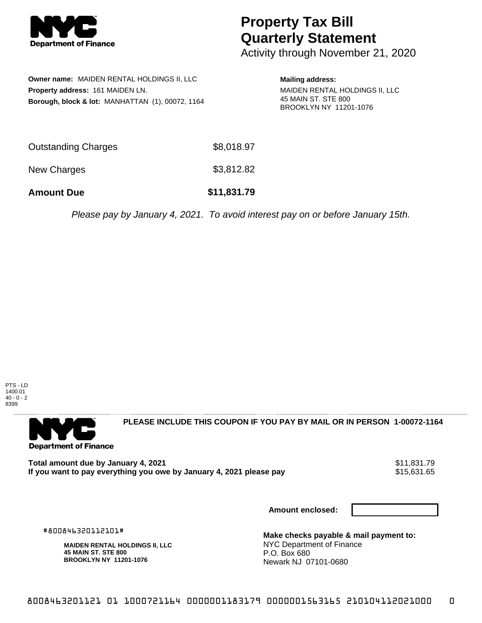

## **Property Tax Bill Quarterly Statement**

Activity through November 21, 2020

|                                  | Owner name: MAIDEN RENTAL HOLDINGS II, LLC       |  |  |  |
|----------------------------------|--------------------------------------------------|--|--|--|
| Property address: 161 MAIDEN LN. |                                                  |  |  |  |
|                                  | Borough, block & lot: MANHATTAN (1), 00072, 1164 |  |  |  |

**Mailing address:**

MAIDEN RENTAL HOLDINGS II, LLC 45 MAIN ST. STE 800 BROOKLYN NY 11201-1076

| <b>Amount Due</b>          | \$11,831.79 |
|----------------------------|-------------|
| New Charges                | \$3,812.82  |
| <b>Outstanding Charges</b> | \$8,018.97  |

Please pay by January 4, 2021. To avoid interest pay on or before January 15th.



**Department of Finance** 

**PLEASE INCLUDE THIS COUPON IF YOU PAY BY MAIL OR IN PERSON 1-00072-1164** 

Total amount due by January 4, 2021<br>If you want to pay everything you owe by January 4, 2021 please pay **1986** \$15,631.65 If you want to pay everything you owe by January 4, 2021 please pay

**Amount enclosed:**

#800846320112101#

**MAIDEN RENTAL HOLDINGS II, LLC 45 MAIN ST. STE 800 BROOKLYN NY 11201-1076**

**Make checks payable & mail payment to:** NYC Department of Finance P.O. Box 680 Newark NJ 07101-0680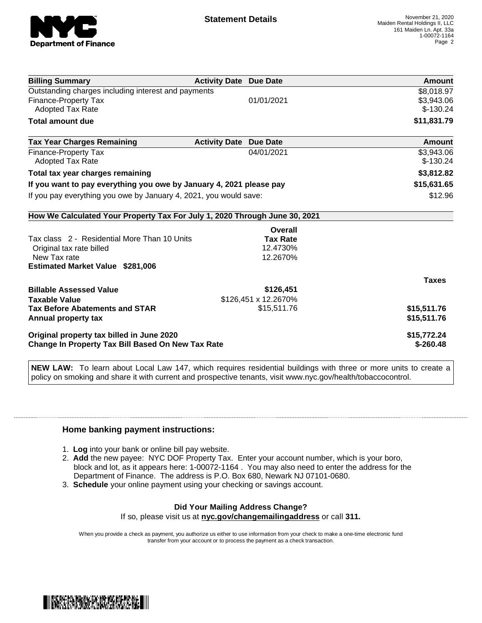

| <b>Billing Summary</b>                                                     | <b>Activity Date Due Date</b>           | <b>Amount</b> |
|----------------------------------------------------------------------------|-----------------------------------------|---------------|
| Outstanding charges including interest and payments                        |                                         | \$8,018.97    |
| Finance-Property Tax                                                       | 01/01/2021                              | \$3,943.06    |
| Adopted Tax Rate                                                           |                                         | $$-130.24$    |
| <b>Total amount due</b>                                                    |                                         | \$11,831.79   |
| <b>Tax Year Charges Remaining</b>                                          | <b>Activity Date</b><br><b>Due Date</b> | Amount        |
| <b>Finance-Property Tax</b>                                                | 04/01/2021                              | \$3,943.06    |
| <b>Adopted Tax Rate</b>                                                    |                                         | $$-130.24$    |
| Total tax year charges remaining                                           | \$3,812.82                              |               |
| If you want to pay everything you owe by January 4, 2021 please pay        | \$15,631.65                             |               |
| If you pay everything you owe by January 4, 2021, you would save:          | \$12.96                                 |               |
| How We Calculated Your Property Tax For July 1, 2020 Through June 30, 2021 |                                         |               |
|                                                                            | Overall                                 |               |
| Tax class 2 - Residential More Than 10 Units                               | <b>Tax Rate</b>                         |               |
| Original tax rate billed                                                   | 12.4730%                                |               |
| New Tax rate                                                               | 12.2670%                                |               |
| <b>Estimated Market Value \$281,006</b>                                    |                                         |               |
|                                                                            |                                         | <b>Taxes</b>  |
| <b>Billable Assessed Value</b>                                             | \$126,451                               |               |
| <b>Taxable Value</b>                                                       | \$126,451 x 12.2670%                    |               |
| <b>Tax Before Abatements and STAR</b>                                      | \$15,511.76                             | \$15,511.76   |
| Annual property tax                                                        |                                         | \$15,511.76   |
| Original property tax billed in June 2020                                  | \$15,772.24                             |               |
| Change In Property Tax Bill Based On New Tax Rate                          | $$-260.48$                              |               |

**NEW LAW:** To learn about Local Law 147, which requires residential buildings with three or more units to create a policy on smoking and share it with current and prospective tenants, visit www.nyc.gov/health/tobaccocontrol.

## **Home banking payment instructions:**

- 1. **Log** into your bank or online bill pay website.
- 2. **Add** the new payee: NYC DOF Property Tax. Enter your account number, which is your boro, block and lot, as it appears here: 1-00072-1164 . You may also need to enter the address for the Department of Finance. The address is P.O. Box 680, Newark NJ 07101-0680.
- 3. **Schedule** your online payment using your checking or savings account.

## **Did Your Mailing Address Change?**

If so, please visit us at **nyc.gov/changemailingaddress** or call **311.**

When you provide a check as payment, you authorize us either to use information from your check to make a one-time electronic fund transfer from your account or to process the payment as a check transaction.